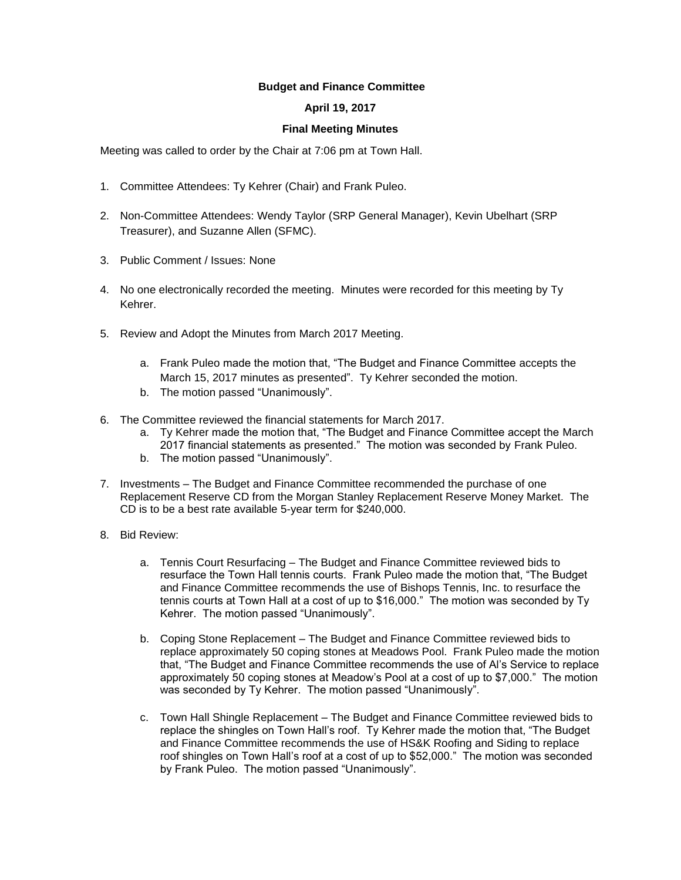## **Budget and Finance Committee**

## **April 19, 2017**

## **Final Meeting Minutes**

Meeting was called to order by the Chair at 7:06 pm at Town Hall.

- 1. Committee Attendees: Ty Kehrer (Chair) and Frank Puleo.
- 2. Non-Committee Attendees: Wendy Taylor (SRP General Manager), Kevin Ubelhart (SRP Treasurer), and Suzanne Allen (SFMC).
- 3. Public Comment / Issues: None
- 4. No one electronically recorded the meeting. Minutes were recorded for this meeting by Ty Kehrer.
- 5. Review and Adopt the Minutes from March 2017 Meeting.
	- a. Frank Puleo made the motion that, "The Budget and Finance Committee accepts the March 15, 2017 minutes as presented". Ty Kehrer seconded the motion.
	- b. The motion passed "Unanimously".
- 6. The Committee reviewed the financial statements for March 2017.
	- a. Ty Kehrer made the motion that, "The Budget and Finance Committee accept the March 2017 financial statements as presented." The motion was seconded by Frank Puleo.
	- b. The motion passed "Unanimously".
- 7. Investments The Budget and Finance Committee recommended the purchase of one Replacement Reserve CD from the Morgan Stanley Replacement Reserve Money Market. The CD is to be a best rate available 5-year term for \$240,000.
- 8. Bid Review:
	- a. Tennis Court Resurfacing The Budget and Finance Committee reviewed bids to resurface the Town Hall tennis courts. Frank Puleo made the motion that, "The Budget and Finance Committee recommends the use of Bishops Tennis, Inc. to resurface the tennis courts at Town Hall at a cost of up to \$16,000." The motion was seconded by Ty Kehrer. The motion passed "Unanimously".
	- b. Coping Stone Replacement The Budget and Finance Committee reviewed bids to replace approximately 50 coping stones at Meadows Pool. Frank Puleo made the motion that, "The Budget and Finance Committee recommends the use of Al's Service to replace approximately 50 coping stones at Meadow's Pool at a cost of up to \$7,000." The motion was seconded by Ty Kehrer. The motion passed "Unanimously".
	- c. Town Hall Shingle Replacement The Budget and Finance Committee reviewed bids to replace the shingles on Town Hall's roof. Ty Kehrer made the motion that, "The Budget and Finance Committee recommends the use of HS&K Roofing and Siding to replace roof shingles on Town Hall's roof at a cost of up to \$52,000." The motion was seconded by Frank Puleo. The motion passed "Unanimously".